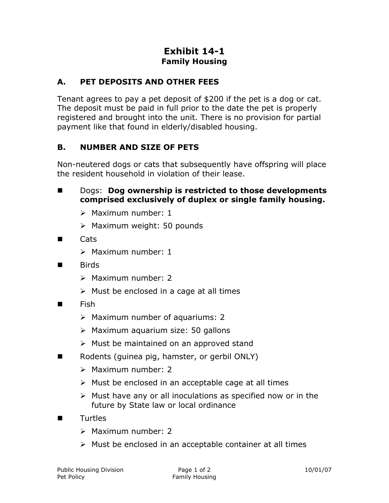## **Exhibit 14-1 Family Housing**

## **A. PET DEPOSITS AND OTHER FEES**

Tenant agrees to pay a pet deposit of \$200 if the pet is a dog or cat. The deposit must be paid in full prior to the date the pet is properly registered and brought into the unit. There is no provision for partial payment like that found in elderly/disabled housing.

## **B. NUMBER AND SIZE OF PETS**

Non-neutered dogs or cats that subsequently have offspring will place the resident household in violation of their lease.

- Dogs: Dog ownership is restricted to those developments **comprised exclusively of duplex or single family housing.**
	- $\triangleright$  Maximum number: 1
	- $\triangleright$  Maximum weight: 50 pounds
- Cats
	- $\triangleright$  Maximum number: 1
- Rirds
	- $\triangleright$  Maximum number: 2
	- $\triangleright$  Must be enclosed in a cage at all times
- Fish
	- Maximum number of aquariums: 2
	- $\triangleright$  Maximum aquarium size: 50 gallons
	- $\triangleright$  Must be maintained on an approved stand
- Rodents (guinea pig, hamster, or gerbil ONLY)
	- $\triangleright$  Maximum number: 2
	- $\triangleright$  Must be enclosed in an acceptable cage at all times
	- $\triangleright$  Must have any or all inoculations as specified now or in the future by State law or local ordinance
- Turtles
	- $\triangleright$  Maximum number: 2
	- $\triangleright$  Must be enclosed in an acceptable container at all times